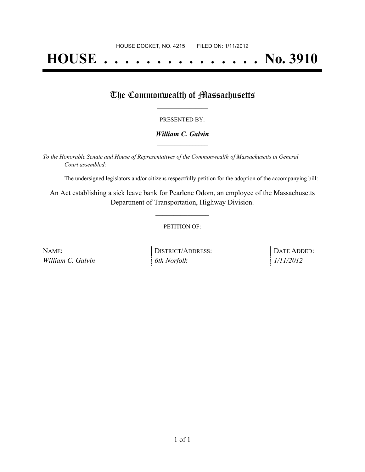# **HOUSE . . . . . . . . . . . . . . . No. 3910**

## The Commonwealth of Massachusetts

#### PRESENTED BY:

#### *William C. Galvin* **\_\_\_\_\_\_\_\_\_\_\_\_\_\_\_\_\_**

*To the Honorable Senate and House of Representatives of the Commonwealth of Massachusetts in General Court assembled:*

The undersigned legislators and/or citizens respectfully petition for the adoption of the accompanying bill:

An Act establishing a sick leave bank for Pearlene Odom, an employee of the Massachusetts Department of Transportation, Highway Division.

**\_\_\_\_\_\_\_\_\_\_\_\_\_\_\_**

#### PETITION OF:

| NAME:             | DISTRICT/ADDRESS: | DATE ADDED: |
|-------------------|-------------------|-------------|
| William C. Galvin | 6th Norfolk       | 1/11/2012   |